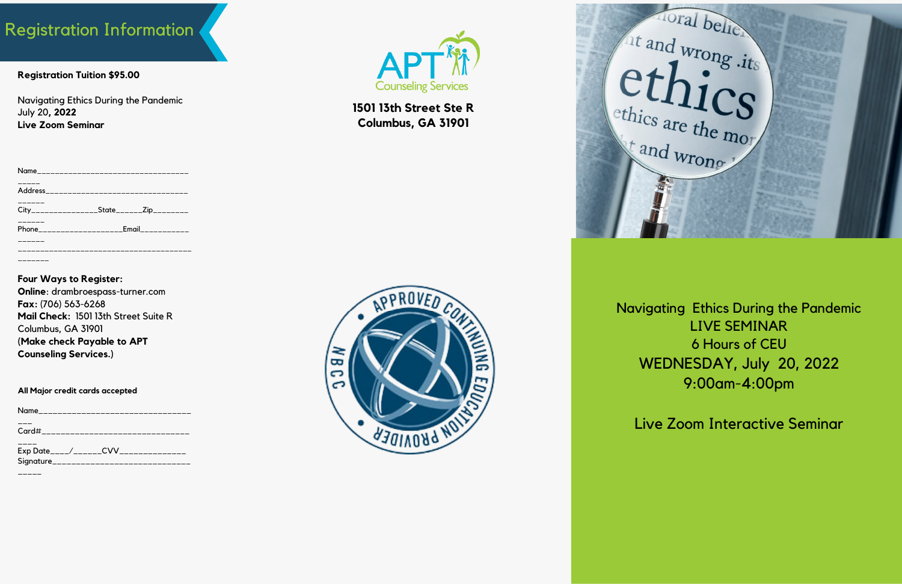# Registration Information

Navigating Ethics During the Pandemic LIVE SEMINAR 6 Hours of CEU WEDNESDAY, July 20, 2022 9:00am-4:00pm

Live Zoom Interactive Seminar

**Registration Tuition \$95.00**

Navigating Ethics During the Pandemic July 20**, 2022 Live Zoom Seminar**

| Name___________________________________      |                                           |  |
|----------------------------------------------|-------------------------------------------|--|
|                                              |                                           |  |
| City_________________State_______Zip________ |                                           |  |
|                                              | Phone____________________Email___________ |  |
|                                              |                                           |  |
|                                              |                                           |  |
|                                              |                                           |  |

| Name_______________________ |  |
|-----------------------------|--|
| Card#_____________________  |  |
|                             |  |

### **Four Ways to Register:**

**Online**: drambroespass-turner.com **Fax:** (706) 563-6268 **Mail Check:** 1501 13th Street Suite R Columbus, GA 31901 **(Make check Payable to APT Counseling Services.)**

#### **All Major credit cards accepted**

| Exp Date____/______CV<br>______________ |  |
|-----------------------------------------|--|
| Signature<br>-----------------------    |  |





**1501 13th Street Ste R Columbus, GA 31901**